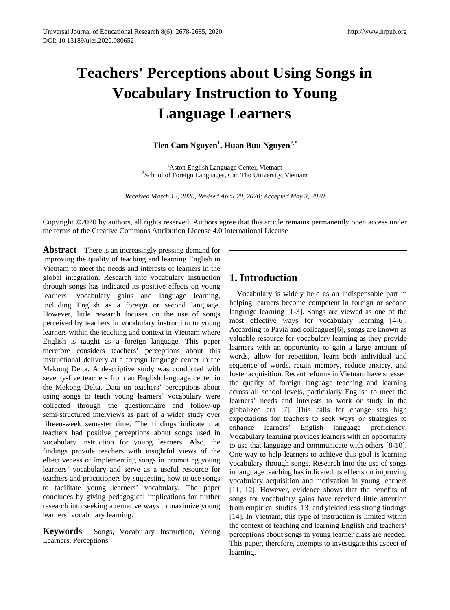# **Teachers' Perceptions about Using Songs in Vocabulary Instruction to Young Language Learners**

### **Tien Cam Nguyen<sup>1</sup> , Huan Buu Nguyen2,\***

<sup>1</sup>Aston English Language Center, Vietnam <sup>2</sup> Aston English Language Center, Vietnam<br><sup>2</sup> School of Foreign Languages, Can Tho University, Vietnam

*Received March 12, 2020, Revised April 20, 2020; Accepted May 3, 2020*

Copyright ©2020 by authors, all rights reserved. Authors agree that this article remains permanently open access under the terms of the Creative Commons Attribution License 4.0 International License

**Abstract** There is an increasingly pressing demand for improving the quality of teaching and learning English in Vietnam to meet the needs and interests of learners in the global integration. Research into vocabulary instruction through songs has indicated its positive effects on young learners' vocabulary gains and language learning, including English as a foreign or second language. However, little research focuses on the use of songs perceived by teachers in vocabulary instruction to young learners within the teaching and context in Vietnam where English is taught as a foreign language. This paper therefore considers teachers' perceptions about this instructional delivery at a foreign language center in the Mekong Delta. A descriptive study was conducted with seventy-five teachers from an English language center in the Mekong Delta. Data on teachers' perceptions about using songs to teach young learners' vocabulary were collected through the questionnaire and follow-up semi-structured interviews as part of a wider study over fifteen-week semester time. The findings indicate that teachers had positive perceptions about songs used in vocabulary instruction for young learners. Also, the findings provide teachers with insightful views of the effectiveness of implementing songs in promoting young learners' vocabulary and serve as a useful resource for teachers and practitioners by suggesting how to use songs to facilitate young learners' vocabulary. The paper concludes by giving pedagogical implications for further research into seeking alternative ways to maximize young learners' vocabulary learning.

**Keywords** Songs, Vocabulary Instruction, Young Learners, Perceptions

## **1. Introduction**

Vocabulary is widely held as an indispensable part in helping learners become competent in foreign or second language learning [\[1-3\]](#page-6-0). Songs are viewed as one of the most effective ways for vocabulary learning [\[4-6\]](#page-6-1). According to Pavia and colleagues[\[6\]](#page-6-2), songs are known as valuable resource for vocabulary learning as they provide learners with an opportunity to gain a large amount of words, allow for repetition, learn both individual and sequence of words, retain memory, reduce anxiety, and foster acquisition. Recent reforms in Vietnam have stressed the quality of foreign language teaching and learning across all school levels, particularly English to meet the learners' needs and interests to work or study in the globalized era [\[7\]](#page-6-3). This calls for change sets high expectations for teachers to seek ways or strategies to enhance learners' English language proficiency. Vocabulary learning provides learners with an opportunity to use that language and communicate with others [\[8-10\]](#page-6-4). One way to help learners to achieve this goal is learning vocabulary through songs. Research into the use of songs in language teaching has indicated its effects on improving vocabulary acquisition and motivation in young learners [\[11,](#page-6-5) [12\]](#page-6-6). However, evidence shows that the benefits of songs for vocabulary gains have received little attention from empirical studies [\[13\]](#page-6-7) and yielded less strong findings [\[14\]](#page-6-8). In Vietnam, this type of instruction is limited within the context of teaching and learning English and teachers' perceptions about songs in young learner class are needed. This paper, therefore, attempts to investigate this aspect of learning.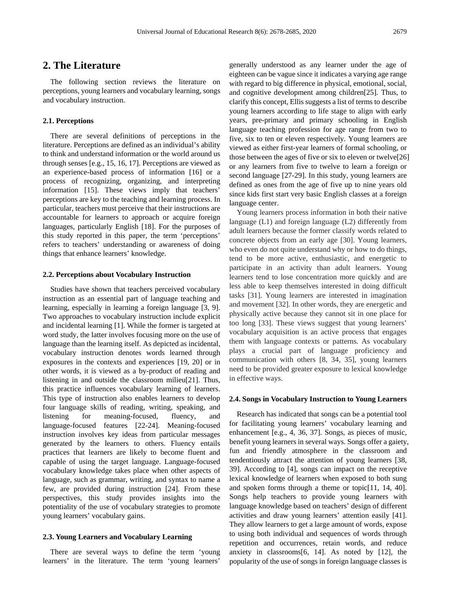### **2. The Literature**

The following section reviews the literature on perceptions, young learners and vocabulary learning, songs and vocabulary instruction.

#### **2.1. Perceptions**

There are several definitions of perceptions in the literature. Perceptions are defined as an individual's ability to think and understand information or the world around us through senses [e.g.[, 15,](#page-6-9) [16,](#page-6-10) [17\]](#page-6-11). Perceptions are viewed as an experience-based process of information [\[16\]](#page-6-10) or a process of recognizing, organizing, and interpreting information [\[15\]](#page-6-9). These views imply that teachers' perceptions are key to the teaching and learning process. In particular, teachers must perceive that their instructions are accountable for learners to approach or acquire foreign languages, particularly English [\[18\]](#page-6-12). For the purposes of this study reported in this paper, the term 'perceptions' refers to teachers' understanding or awareness of doing things that enhance learners' knowledge.

#### **2.2. Perceptions about Vocabulary Instruction**

Studies have shown that teachers perceived vocabulary instruction as an essential part of language teaching and learning, especially in learning a foreign language [\[3,](#page-6-13) [9\]](#page-6-14). Two approaches to vocabulary instruction include explicit and incidental learning [\[1\]](#page-6-0). While the former is targeted at word study, the latter involves focusing more on the use of language than the learning itself. As depicted as incidental, vocabulary instruction denotes words learned through exposures in the contexts and experiences [\[19,](#page-6-15) [20\]](#page-6-16) or in other words, it is viewed as a by-product of reading and listening in and outside the classroom milieu[\[21\]](#page-6-17). Thus, this practice influences vocabulary learning of learners. This type of instruction also enables learners to develop four language skills of reading, writing, speaking, and listening for meaning-focused, fluency, and language-focused features [\[22-24\]](#page-6-18). Meaning-focused instruction involves key ideas from particular messages generated by the learners to others. Fluency entails practices that learners are likely to become fluent and capable of using the target language. Language-focused vocabulary knowledge takes place when other aspects of language, such as grammar, writing, and syntax to name a few, are provided during instruction [\[24\]](#page-6-19). From these perspectives, this study provides insights into the potentiality of the use of vocabulary strategies to promote young learners' vocabulary gains.

#### **2.3. Young Learners and Vocabulary Learning**

There are several ways to define the term 'young learners' in the literature. The term 'young learners'

generally understood as any learner under the age of eighteen can be vague since it indicates a varying age range with regard to big difference in physical, emotional, social, and cognitive development among children[\[25\]](#page-6-20). Thus, to clarify this concept, Ellis suggests a list of terms to describe young learners according to life stage to align with early years, pre-primary and primary schooling in English language teaching profession for age range from two to five, six to ten or eleven respectively. Young learners are viewed as either first-year learners of formal schooling, or those between the ages of five or six to eleven or twelve[\[26\]](#page-6-21) or any learners from five to twelve to learn a foreign or second language [\[27-29\]](#page-6-22). In this study, young learners are defined as ones from the age of five up to nine years old since kids first start very basic English classes at a foreign language center.

Young learners process information in both their native language (L1) and foreign language (L2) differently from adult learners because the former classify words related to concrete objects from an early age [\[30\]](#page-6-23). Young learners, who even do not quite understand why or how to do things, tend to be more active, enthusiastic, and energetic to participate in an activity than adult learners. Young learners tend to lose concentration more quickly and are less able to keep themselves interested in doing difficult tasks [\[31\]](#page-6-24). Young learners are interested in imagination and movement [\[32\]](#page-6-25). In other words, they are energetic and physically active because they cannot sit in one place for too long [\[33\]](#page-6-26). These views suggest that young learners' vocabulary acquisition is an active process that engages them with language contexts or patterns. As vocabulary plays a crucial part of language proficiency and communication with others [\[8,](#page-6-4) [34,](#page-6-27) [35\]](#page-7-0), young learners need to be provided greater exposure to lexical knowledge in effective ways.

#### **2.4. Songs in Vocabulary Instruction to Young Learners**

Research has indicated that songs can be a potential tool for facilitating young learners' vocabulary learning and enhancement [e.g., [4,](#page-6-1) [36,](#page-7-1) [37\]](#page-7-2). Songs, as pieces of music, benefit young learners in several ways. Songs offer a gaiety, fun and friendly atmosphere in the classroom and tendentiously attract the attention of young learners [\[38,](#page-7-3) [39\]](#page-7-4). According to [\[4\]](#page-6-1), songs can impact on the receptive lexical knowledge of learners when exposed to both sung and spoken forms through a theme or topic[\[11,](#page-6-5) [14,](#page-6-8) [40\]](#page-7-5). Songs help teachers to provide young learners with language knowledge based on teachers' design of different activities and draw young learners' attention easily [\[41\]](#page-7-6). They allow learners to get a large amount of words, expose to using both individual and sequences of words through repetition and occurrences, retain words, and reduce anxiety in classrooms[\[6,](#page-6-2) [14\]](#page-6-8). As noted by [\[12\]](#page-6-6), the popularity of the use of songs in foreign language classes is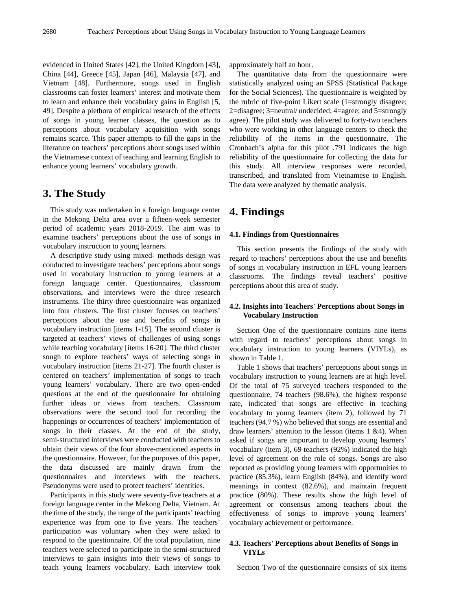evidenced in United States [\[42\]](#page-7-7), the United Kingdom [\[43\]](#page-7-8), China [\[44\]](#page-7-9), Greece [\[45\]](#page-7-10), Japan [\[46\]](#page-7-11), Malaysia [\[47\]](#page-7-12), and Vietnam [\[48\]](#page-7-13). Furthermore, songs used in English classrooms can foster learners' interest and motivate them to learn and enhance their vocabulary gains in English [\[5,](#page-6-28) [49\]](#page-7-14). Despite a plethora of empirical research of the effects of songs in young learner classes, the question as to perceptions about vocabulary acquisition with songs remains scarce. This paper attempts to fill the gaps in the literature on teachers' perceptions about songs used within the Vietnamese context of teaching and learning English to enhance young learners' vocabulary growth.

### **3. The Study**

This study was undertaken in a foreign language center in the Mekong Delta area over a fifteen-week semester period of academic years 2018-2019. The aim was to examine teachers' perceptions about the use of songs in vocabulary instruction to young learners.

A descriptive study using mixed- methods design was conducted to investigate teachers' perceptions about songs used in vocabulary instruction to young learners at a foreign language center. Questionnaires, classroom observations, and interviews were the three research instruments. The thirty-three questionnaire was organized into four clusters. The first cluster focuses on teachers' perceptions about the use and benefits of songs in vocabulary instruction [items 1-15]. The second cluster is targeted at teachers' views of challenges of using songs while teaching vocabulary [items 16-20]. The third cluster sough to explore teachers' ways of selecting songs in vocabulary instruction [items 21-27]. The fourth cluster is centered on teachers' implementation of songs to teach young learners' vocabulary. There are two open-ended questions at the end of the questionnaire for obtaining further ideas or views from teachers. Classroom observations were the second tool for recording the happenings or occurrences of teachers' implementation of songs in their classes. At the end of the study, semi-structured interviews were conducted with teachers to obtain their views of the four above-mentioned aspects in the questionnaire. However, for the purposes of this paper, the data discussed are mainly drawn from the questionnaires and interviews with the teachers. Pseudonyms were used to protect teachers' identities.

Participants in this study were seventy-five teachers at a foreign language center in the Mekong Delta, Vietnam. At the time of the study, the range of the participants' teaching experience was from one to five years. The teachers' participation was voluntary when they were asked to respond to the questionnaire. Of the total population, nine teachers were selected to participate in the semi-structured interviews to gain insights into their views of songs to teach young learners vocabulary. Each interview took

approximately half an hour.

The quantitative data from the questionnaire were statistically analyzed using an SPSS (Statistical Package for the Social Sciences). The questionnaire is weighted by the rubric of five-point Likert scale (1=strongly disagree; 2=disagree; 3=neutral/ undecided; 4=agree; and 5=strongly agree). The pilot study was delivered to forty-two teachers who were working in other language centers to check the reliability of the items in the questionnaire. The Cronbach's alpha for this pilot .791 indicates the high reliability of the questionnaire for collecting the data for this study. All interview responses were recorded, transcribed, and translated from Vietnamese to English. The data were analyzed by thematic analysis.

### **4. Findings**

#### **4.1. Findings from Questionnaires**

This section presents the findings of the study with regard to teachers' perceptions about the use and benefits of songs in vocabulary instruction in EFL young learners classrooms. The findings reveal teachers' positive perceptions about this area of study.

#### **4.2. Insights into Teachers' Perceptions about Songs in Vocabulary Instruction**

Section One of the questionnaire contains nine items with regard to teachers' perceptions about songs in vocabulary instruction to young learners (VIYLs), as shown in Table 1.

Table 1 shows that teachers' perceptions about songs in vocabulary instruction to young learners are at high level. Of the total of 75 surveyed teachers responded to the questionnaire, 74 teachers (98.6%), the highest response rate, indicated that songs are effective in teaching vocabulary to young learners (item 2), followed by 71 teachers (94.7 %) who believed that songs are essential and draw learners' attention to the lesson (items 1 &4). When asked if songs are important to develop young learners' vocabulary (item 3), 69 teachers (92%) indicated the high level of agreement on the role of songs. Songs are also reported as providing young learners with opportunities to practice (85.3%), learn English (84%), and identify word meanings in context (82.6%), and maintain frequent practice (80%). These results show the high level of agreement or consensus among teachers about the effectiveness of songs to improve young learners' vocabulary achievement or performance.

### **4.3. Teachers' Perceptions about Benefits of Songs in VIYLs**

Section Two of the questionnaire consists of six items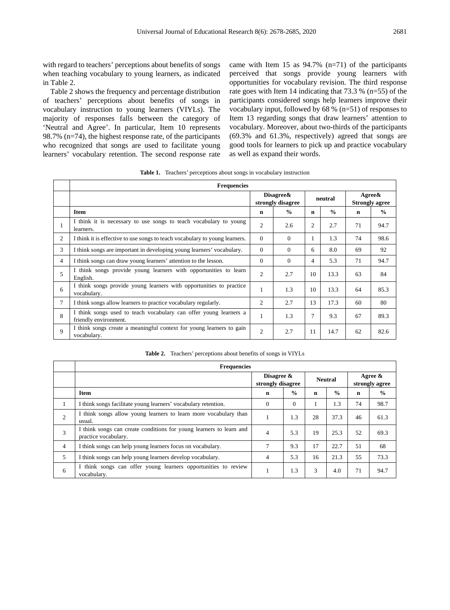with regard to teachers' perceptions about benefits of songs when teaching vocabulary to young learners, as indicated in Table 2.

Table 2 shows the frequency and percentage distribution of teachers' perceptions about benefits of songs in vocabulary instruction to young learners (VIYLs). The majority of responses falls between the category of 'Neutral and Agree'. In particular, Item 10 represents 98.7% (n=74), the highest response rate, of the participants who recognized that songs are used to facilitate young learners' vocabulary retention. The second response rate came with Item 15 as  $94.7\%$  (n=71) of the participants perceived that songs provide young learners with opportunities for vocabulary revision. The third response rate goes with Item 14 indicating that 73.3 % (n=55) of the participants considered songs help learners improve their vocabulary input, followed by 68 % (n=51) of responses to Item 13 regarding songs that draw learners' attention to vocabulary. Moreover, about two-thirds of the participants (69.3% and 61.3%, respectively) agreed that songs are good tools for learners to pick up and practice vocabulary as well as expand their words.

**Table 1.** Teachers' perceptions about songs in vocabulary instruction

|                | <b>Frequencies</b>                                                                         |                                 |               |                |               |                                        |               |
|----------------|--------------------------------------------------------------------------------------------|---------------------------------|---------------|----------------|---------------|----------------------------------------|---------------|
|                |                                                                                            | Disagree &<br>strongly disagree |               | neutral        |               | $A$ gree $\&$<br><b>Strongly agree</b> |               |
|                | <b>Item</b>                                                                                | n                               | $\frac{0}{0}$ | $\mathbf n$    | $\frac{0}{0}$ | n                                      | $\frac{0}{0}$ |
| 1              | I think it is necessary to use songs to teach vocabulary to young<br>learners.             | $\overline{c}$                  | 2.6           | $\overline{2}$ | 2.7           | 71                                     | 94.7          |
| $\overline{2}$ | I think it is effective to use songs to teach vocabulary to young learners.                | $\Omega$                        | $\theta$      | 1              | 1.3           | 74                                     | 98.6          |
| 3              | I think songs are important in developing young learners' vocabulary.                      | $\Omega$                        | $\Omega$      | 6              | 8.0           | 69                                     | 92            |
| $\overline{4}$ | I think songs can draw young learners' attention to the lesson.                            | $\Omega$                        | $\Omega$      | $\overline{4}$ | 5.3           | 71                                     | 94.7          |
| 5              | I think songs provide young learners with opportunities to learn<br>English.               | 2                               | 2.7           | 10             | 13.3          | 63                                     | 84            |
| 6              | I think songs provide young learners with opportunities to practice<br>vocabulary.         | 1                               | 1.3           | 10             | 13.3          | 64                                     | 85.3          |
| $\tau$         | I think songs allow learners to practice vocabulary regularly.                             | 2                               | 2.7           | 13             | 17.3          | 60                                     | 80            |
| 8              | I think songs used to teach vocabulary can offer young learners a<br>friendly environment. | $\mathbf{1}$                    | 1.3           | 7              | 9.3           | 67                                     | 89.3          |
| 9              | I think songs create a meaningful context for young learners to gain<br>vocabulary.        | 2                               | 2.7           | 11             | 14.7          | 62                                     | 82.6          |

**Table 2.** Teachers' perceptions about benefits of songs in VIYLs

|                | <b>Frequencies</b>                                                                          |                                 |               |                |               |                              |               |
|----------------|---------------------------------------------------------------------------------------------|---------------------------------|---------------|----------------|---------------|------------------------------|---------------|
|                |                                                                                             | Disagree &<br>strongly disagree |               | <b>Neutral</b> |               | Agree $\&$<br>strongly agree |               |
|                | <b>Item</b>                                                                                 | $\mathbf n$                     | $\frac{0}{0}$ | n              | $\frac{0}{0}$ | $\mathbf n$                  | $\frac{0}{0}$ |
| 1              | I think songs facilitate young learners' vocabulary retention.                              | $\theta$                        | $\Omega$      |                | 1.3           | 74                           | 98.7          |
| $\overline{2}$ | I think songs allow young learners to learn more vocabulary than<br>usual.                  |                                 | 1.3           | 28             | 37.3          | 46                           | 61.3          |
| 3              | I think songs can create conditions for young learners to learn and<br>practice vocabulary. | 4                               | 5.3           | 19             | 25.3          | 52                           | 69.3          |
| $\overline{4}$ | I think songs can help young learners focus on vocabulary.                                  | 7                               | 9.3           | 17             | 22.7          | 51                           | 68            |
| 5              | I think songs can help young learners develop vocabulary.                                   | $\overline{4}$                  | 5.3           | 16             | 21.3          | 55                           | 73.3          |
| 6              | I think songs can offer young learners opportunities to review<br>vocabulary.               |                                 | 1.3           | 3              | 4.0           | 71                           | 94.7          |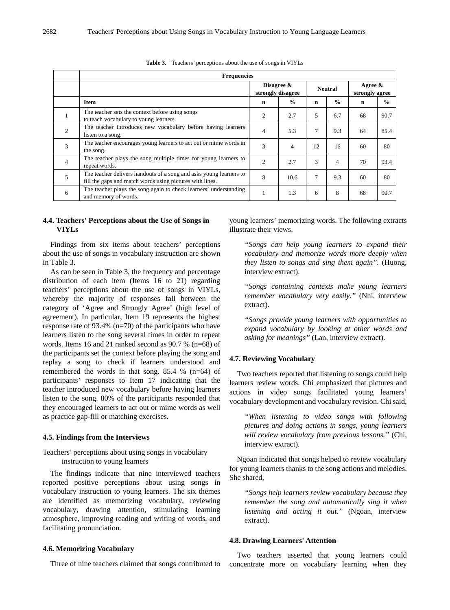|                | <b>Frequencies</b>                                                                                                             |                                    |               |                |               |                              |               |  |
|----------------|--------------------------------------------------------------------------------------------------------------------------------|------------------------------------|---------------|----------------|---------------|------------------------------|---------------|--|
|                |                                                                                                                                | Disagree $\&$<br>strongly disagree |               | <b>Neutral</b> |               | Agree $\&$<br>strongly agree |               |  |
|                | Item                                                                                                                           | n                                  | $\frac{0}{0}$ | n              | $\frac{0}{0}$ | $\mathbf n$                  | $\frac{0}{0}$ |  |
| $\mathbf{I}$   | The teacher sets the context before using songs<br>to teach vocabulary to young learners.                                      | 2                                  | 2.7           | 5              | 6.7           | 68                           | 90.7          |  |
| $\overline{2}$ | The teacher introduces new vocabulary before having learners<br>listen to a song.                                              | 4                                  | 5.3           | 7              | 9.3           | 64                           | 85.4          |  |
| 3              | The teacher encourages young learners to act out or mime words in<br>the song.                                                 | 3                                  | 4             | 12             | 16            | 60                           | 80            |  |
| $\overline{4}$ | The teacher plays the song multiple times for young learners to<br>repeat words.                                               | 2                                  | 2.7           | 3              | 4             | 70                           | 93.4          |  |
| 5              | The teacher delivers handouts of a song and asks young learners to<br>fill the gaps and match words using pictures with lines. | 8                                  | 10.6          | 7              | 9.3           | 60                           | 80            |  |
| 6              | The teacher plays the song again to check learners' understanding<br>and memory of words.                                      | 1                                  | 1.3           | 6              | 8             | 68                           | 90.7          |  |

**Table 3.** Teachers' perceptions about the use of songs in VIYLs

#### **4.4. Teachers' Perceptions about the Use of Songs in VIYLs**

Findings from six items about teachers' perceptions about the use of songs in vocabulary instruction are shown in Table 3.

As can be seen in Table 3, the frequency and percentage distribution of each item (Items 16 to 21) regarding teachers' perceptions about the use of songs in VIYLs, whereby the majority of responses fall between the category of 'Agree and Strongly Agree' (high level of agreement). In particular, Item 19 represents the highest response rate of 93.4% (n=70) of the participants who have learners listen to the song several times in order to repeat words. Items 16 and 21 ranked second as 90.7 % (n=68) of the participants set the context before playing the song and replay a song to check if learners understood and remembered the words in that song. 85.4 % (n=64) of participants' responses to Item 17 indicating that the teacher introduced new vocabulary before having learners listen to the song. 80% of the participants responded that they encouraged learners to act out or mime words as well as practice gap-fill or matching exercises.

#### **4.5. Findings from the Interviews**

Teachers' perceptions about using songs in vocabulary instruction to young learners

The findings indicate that nine interviewed teachers reported positive perceptions about using songs in vocabulary instruction to young learners. The six themes are identified as memorizing vocabulary, reviewing vocabulary, drawing attention, stimulating learning atmosphere, improving reading and writing of words, and facilitating pronunciation.

#### **4.6. Memorizing Vocabulary**

Three of nine teachers claimed that songs contributed to

young learners' memorizing words. The following extracts illustrate their views.

*"Songs can help young learners to expand their vocabulary and memorize words more deeply when they listen to songs and sing them again".* (Huong, interview extract).

*"Songs containing contexts make young learners remember vocabulary very easily."* (Nhi, interview extract).

*"Songs provide young learners with opportunities to expand vocabulary by looking at other words and asking for meanings"* (Lan, interview extract).

#### **4.7. Reviewing Vocabulary**

Two teachers reported that listening to songs could help learners review words. Chi emphasized that pictures and actions in video songs facilitated young learners' vocabulary development and vocabulary revision. Chi said,

*"When listening to video songs with following pictures and doing actions in songs, young learners will review vocabulary from previous lessons."* (Chi, interview extract)*.*

Ngoan indicated that songs helped to review vocabulary for young learners thanks to the song actions and melodies. She shared,

*"Songs help learners review vocabulary because they remember the song and automatically sing it when listening and acting it out."* (Ngoan, interview extract).

#### **4.8. Drawing Learners' Attention**

Two teachers asserted that young learners could concentrate more on vocabulary learning when they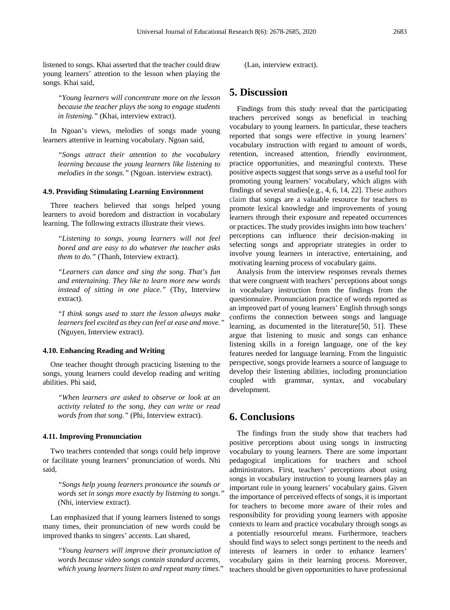listened to songs. Khai asserted that the teacher could draw young learners' attention to the lesson when playing the songs. Khai said,

*"Young learners will concentrate more on the lesson because the teacher plays the song to engage students in listening."* (Khai, interview extract).

In Ngoan's views, melodies of songs made young learners attentive in learning vocabulary. Ngoan said,

*"Songs attract their attention to the vocabulary learning because the young learners like listening to melodies in the songs."* (Ngoan. interview extract).

#### **4.9. Providing Stimulating Learning Environment**

Three teachers believed that songs helped young learners to avoid boredom and distraction in vocabulary learning. The following extracts illustrate their views.

*"Listening to songs, young learners will not feel bored and are easy to do whatever the teacher asks them to do."* (Thanh, Interview extract).

*"Learners can dance and sing the song. That's fun and entertaining. They like to learn more new words instead of sitting in one place."* (Thy, Interview extract).

*"I think songs used to start the lesson always make learners feel excited as they can feel at ease and move."* (Nguyen, Interview extract).

#### **4.10. Enhancing Reading and Writing**

One teacher thought through practicing listening to the songs, young learners could develop reading and writing abilities. Phi said,

*"When learners are asked to observe or look at an activity related to the song, they can write or read words from that song."* (Phi, Interview extract).

#### **4.11. Improving Pronunciation**

Two teachers contended that songs could help improve or facilitate young learners' pronunciation of words. Nhi said,

*"Songs help young learners pronounce the sounds or words set in songs more exactly by listening to songs."*  (Nhi, interview extract).

Lan emphasized that if young learners listened to songs many times, their pronunciation of new words could be improved thanks to singers' accents. Lan shared,

*"Young learners will improve their pronunciation of words because video songs contain standard accents, which young learners listen to and repeat many times*." (Lan, interview extract).

### **5. Discussion**

Findings from this study reveal that the participating teachers perceived songs as beneficial in teaching vocabulary to young learners. In particular, these teachers reported that songs were effective in young learners' vocabulary instruction with regard to amount of words, retention, increased attention, friendly environment, practice opportunities, and meaningful contexts. These positive aspects suggest that songs serve as a useful tool for promoting young learners' vocabulary, which aligns with findings of several studies[e.g.[, 4,](#page-6-1) [6,](#page-6-2) [14,](#page-6-8) [22\]](#page-6-18). These authors claim that songs are a valuable resource for teachers to promote lexical knowledge and improvements of young learners through their exposure and repeated occurrences or practices. The study provides insights into how teachers' perceptions can influence their decision-making in selecting songs and appropriate strategies in order to involve young learners in interactive, entertaining, and motivating learning process of vocabulary gains.

Analysis from the interview responses reveals themes that were congruent with teachers' perceptions about songs in vocabulary instruction from the findings from the questionnaire. Pronunciation practice of words reported as an improved part of young learners' English through songs confirms the connection between songs and language learning, as documented in the literature[\[50,](#page-7-15) [51\]](#page-7-16). These argue that listening to music and songs can enhance listening skills in a foreign language, one of the key features needed for language learning. From the linguistic perspective, songs provide learners a source of language to develop their listening abilities, including pronunciation coupled with grammar, syntax, and vocabulary development.

### **6. Conclusions**

The findings from the study show that teachers had positive perceptions about using songs in instructing vocabulary to young learners. There are some important pedagogical implications for teachers and school administrators. First, teachers' perceptions about using songs in vocabulary instruction to young learners play an important role in young learners' vocabulary gains. Given the importance of perceived effects of songs, it is important for teachers to become more aware of their roles and responsibility for providing young learners with apposite contexts to learn and practice vocabulary through songs as a potentially resourceful means. Furthermore, teachers should find ways to select songs pertinent to the needs and interests of learners in order to enhance learners' vocabulary gains in their learning process. Moreover, teachers should be given opportunities to have professional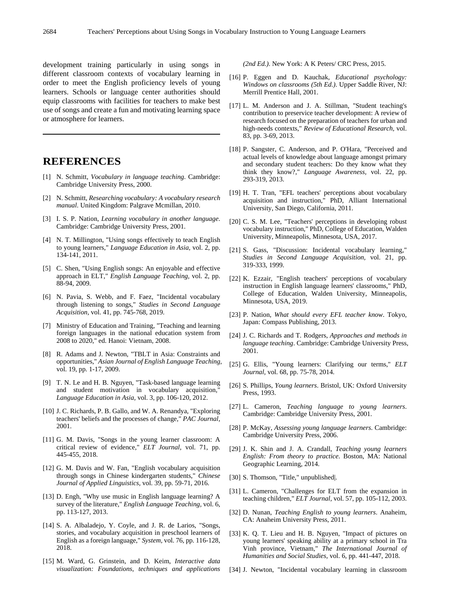development training particularly in using songs in different classroom contexts of vocabulary learning in order to meet the English proficiency levels of young learners. Schools or language center authorities should equip classrooms with facilities for teachers to make best use of songs and create a fun and motivating learning space or atmosphere for learners.

### **REFERENCES**

- <span id="page-6-0"></span>[1] N. Schmitt, *Vocabulary in language teaching*. Cambridge: Cambridge University Press, 2000.
- [2] N. Schmitt, *Researching vocabulary: A vocabulary research manual*. United Kingdom: Palgrave Mcmillan, 2010.
- <span id="page-6-13"></span>[3] I. S. P. Nation, *Learning vocabulary in another language*. Cambridge: Cambridge University Press, 2001.
- <span id="page-6-1"></span>[4] N. T. Millington, "Using songs effectively to teach English to young learners," *Language Education in Asia,* vol. 2, pp. 134-141, 2011.
- <span id="page-6-28"></span>[5] C. Shen, "Using English songs: An enjoyable and effective approach in ELT," *English Language Teaching,* vol. 2, pp. 88-94, 2009.
- <span id="page-6-2"></span>[6] N. Pavia, S. Webb, and F. Faez, "Incidental vocabulary through listening to songs," *Studies in Second Language Acquisition,* vol. 41, pp. 745-768, 2019.
- <span id="page-6-3"></span>[7] Ministry of Education and Training, "Teaching and learning foreign languages in the national education system from 2008 to 2020," ed. Hanoi: Vietnam, 2008.
- <span id="page-6-4"></span>[8] R. Adams and J. Newton, "TBLT in Asia: Constraints and opportunities," *Asian Journal of English Language Teaching,*  vol. 19, pp. 1-17, 2009.
- <span id="page-6-14"></span>[9] T. N. Le and H. B. Nguyen, "Task-based language learning and student motivation in vocabulary acquisition, *Language Education in Asia,* vol. 3, pp. 106-120, 2012.
- [10] J. C. Richards, P. B. Gallo, and W. A. Renandya, "Exploring teachers' beliefs and the processes of change," *PAC Journal,*  2001.
- <span id="page-6-5"></span>[11] G. M. Davis, "Songs in the young learner classroom: A critical review of evidence," *ELT Journal,* vol. 71, pp. 445-455, 2018.
- <span id="page-6-6"></span>[12] G. M. Davis and W. Fan, "English vocabulary acquisition through songs in Chinese kindergarten students," *Chinese Journal of Applied Linguistics,* vol. 39, pp. 59-71, 2016.
- <span id="page-6-7"></span>[13] D. Engh, "Why use music in English language learning? A survey of the literature," *English Language Teaching,* vol. 6, pp. 113-127, 2013.
- <span id="page-6-8"></span>[14] S. A. Albaladejo, Y. Coyle, and J. R. de Larios, "Songs, stories, and vocabulary acquisition in preschool learners of English as a foreign language," *System,* vol. 76, pp. 116-128, 2018.
- <span id="page-6-9"></span>[15] M. Ward, G. Grinstein, and D. Keim, *Interactive data visualization: Foundations, techniques and applications*

*(2nd Ed.)*. New York: A K Peters/ CRC Press, 2015.

- <span id="page-6-10"></span>[16] P. Eggen and D. Kauchak, *Educational psychology: Windows on classrooms (5th Ed.)*. Upper Saddle River, NJ: Merrill Prentice Hall, 2001.
- <span id="page-6-11"></span>[17] L. M. Anderson and J. A. Stillman, "Student teaching's contribution to preservice teacher development: A review of research focused on the preparation of teachers for urban and high-needs contexts," *Review of Educational Research,* vol. 83, pp. 3-69, 2013.
- <span id="page-6-12"></span>[18] P. Sangster, C. Anderson, and P. O'Hara, "Perceived and actual levels of knowledge about language amongst primary and secondary student teachers: Do they know what they think they know?," *Language Awareness,* vol. 22, pp. 293-319, 2013.
- <span id="page-6-15"></span>[19] H. T. Tran, "EFL teachers' perceptions about vocabulary acquisition and instruction," PhD, Alliant International University, San Diego, California, 2011.
- <span id="page-6-16"></span>[20] C. S. M. Lee, "Teachers' perceptions in developing robust vocabulary instruction," PhD, College of Education, Walden University, Minneapolis, Minnesota, USA, 2017.
- <span id="page-6-17"></span>[21] S. Gass, "Discussion: Incidental vocabulary learning," *Studies in Second Language Acquisition,* vol. 21, pp. 319-333, 1999.
- <span id="page-6-18"></span>[22] K. Ezzair, "English teachers' perceptions of vocabulary instruction in English language learners' classrooms," PhD, College of Education, Walden University, Minneapolis, Minnesota, USA, 2019.
- [23] P. Nation, *What should every EFL teacher know*. Tokyo, Japan: Compass Publishing, 2013.
- <span id="page-6-19"></span>[24] J. C. Richards and T. Rodgers, *Approaches and methods in language teaching*. Cambridge: Cambridge University Press, 2001.
- <span id="page-6-20"></span>[25] G. Ellis, "Young learners: Clarifying our terms," *ELT Journal,* vol. 68, pp. 75-78, 2014.
- <span id="page-6-21"></span>[26] S. Phillips, *Young learners*. Bristol, UK: Oxford University Press, 1993.
- <span id="page-6-22"></span>[27] L. Cameron, *Teaching language to young learners*. Cambridge: Cambridge University Press, 2001.
- [28] P. McKay, *Assessing young language learners*. Cambridge: Cambridge University Press, 2006.
- [29] J. K. Shin and J. A. Crandall, *Teaching young learners English: From theory to practice*. Boston, MA: National Geographic Learning, 2014.
- <span id="page-6-23"></span>[30] S. Thomson, "Title," unpublished.
- <span id="page-6-24"></span>[31] L. Cameron, "Challenges for ELT from the expansion in teaching children," *ELT Journal,* vol. 57, pp. 105-112, 2003.
- <span id="page-6-25"></span>[32] D. Nunan, *Teaching English to young learners*. Anaheim, CA: Anaheim University Press, 2011.
- <span id="page-6-26"></span>[33] K. Q. T. Lieu and H. B. Nguyen, "Impact of pictures on young learners' speaking ability at a primary school in Tra Vinh province, Vietnam," *The International Journal of Humanities and Social Studies,* vol. 6, pp. 441-447, 2018.
- <span id="page-6-27"></span>[34] J. Newton, "Incidental vocabulary learning in classroom